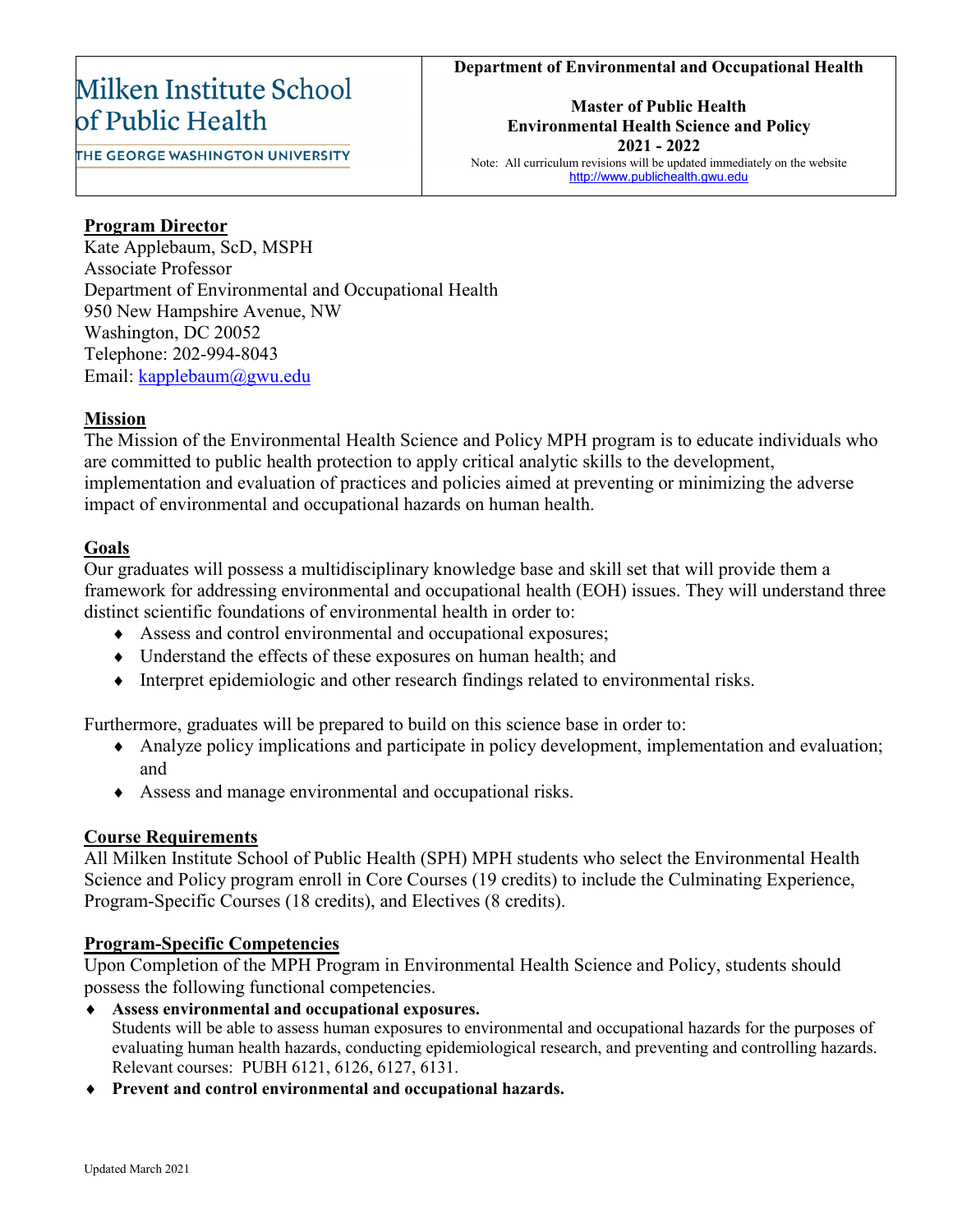#### **Department of Environmental and Occupational Health**

# Milken Institute School of Public Health

THE GEORGE WASHINGTON UNIVERSITY

**Master of Public Health Environmental Health Science and Policy 2021 - 2022** Note: All curriculum revisions will be updated immediately on the website [http://www.publichealth.gwu.edu](http://www.publichealth.gwu.edu/)

### **Program Director**

Kate Applebaum, ScD, MSPH Associate Professor Department of Environmental and Occupational Health 950 New Hampshire Avenue, NW Washington, DC 20052 Telephone: 202-994-8043 Email: [kapplebaum@gwu.edu](mailto:kapplebaum@gwu.edu)

### **Mission**

The Mission of the Environmental Health Science and Policy MPH program is to educate individuals who are committed to public health protection to apply critical analytic skills to the development, implementation and evaluation of practices and policies aimed at preventing or minimizing the adverse impact of environmental and occupational hazards on human health.

### **Goals**

Our graduates will possess a multidisciplinary knowledge base and skill set that will provide them a framework for addressing environmental and occupational health (EOH) issues. They will understand three distinct scientific foundations of environmental health in order to:

- ♦ Assess and control environmental and occupational exposures;
- ♦ Understand the effects of these exposures on human health; and
- ♦ Interpret epidemiologic and other research findings related to environmental risks.

Furthermore, graduates will be prepared to build on this science base in order to:

- ♦ Analyze policy implications and participate in policy development, implementation and evaluation; and
- ♦ Assess and manage environmental and occupational risks.

### **Course Requirements**

All Milken Institute School of Public Health (SPH) MPH students who select the Environmental Health Science and Policy program enroll in Core Courses (19 credits) to include the Culminating Experience, Program-Specific Courses (18 credits), and Electives (8 credits).

### **Program-Specific Competencies**

Upon Completion of the MPH Program in Environmental Health Science and Policy, students should possess the following functional competencies.

- ♦ **Assess environmental and occupational exposures.** Students will be able to assess human exposures to environmental and occupational hazards for the purposes of evaluating human health hazards, conducting epidemiological research, and preventing and controlling hazards. Relevant courses: PUBH 6121, 6126, 6127, 6131.
- ♦ **Prevent and control environmental and occupational hazards.**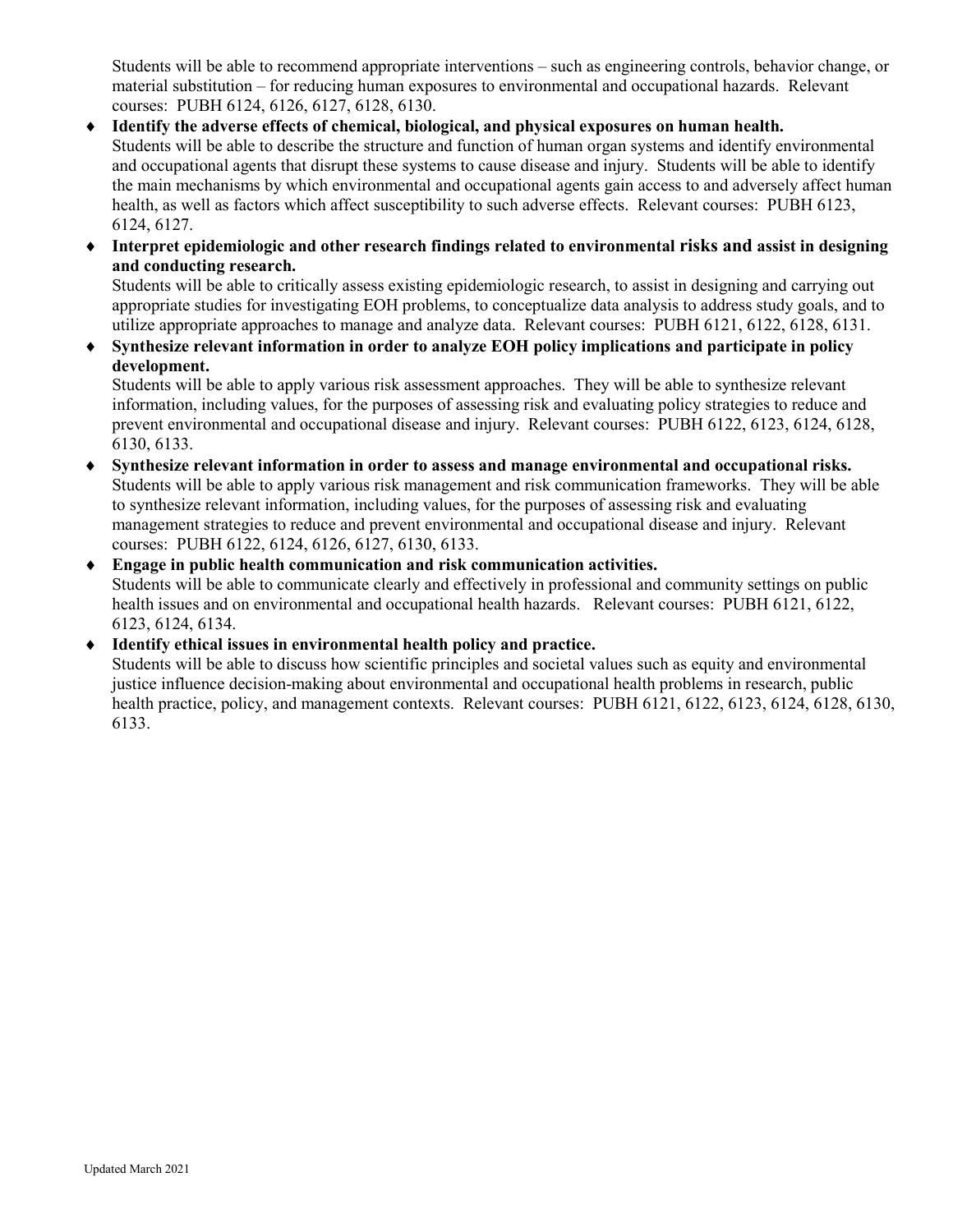Students will be able to recommend appropriate interventions – such as engineering controls, behavior change, or material substitution – for reducing human exposures to environmental and occupational hazards. Relevant courses: PUBH 6124, 6126, 6127, 6128, 6130.

- Identify the adverse effects of chemical, biological, and physical exposures on human health. Students will be able to describe the structure and function of human organ systems and identify environmental and occupational agents that disrupt these systems to cause disease and injury. Students will be able to identify the main mechanisms by which environmental and occupational agents gain access to and adversely affect human health, as well as factors which affect susceptibility to such adverse effects. Relevant courses: PUBH 6123, 6124, 6127.
- ♦ **Interpret epidemiologic and other research findings related to environmental risks and assist in designing and conducting research.**

Students will be able to critically assess existing epidemiologic research, to assist in designing and carrying out appropriate studies for investigating EOH problems, to conceptualize data analysis to address study goals, and to utilize appropriate approaches to manage and analyze data. Relevant courses: PUBH 6121, 6122, 6128, 6131.

♦ **Synthesize relevant information in order to analyze EOH policy implications and participate in policy development.**

Students will be able to apply various risk assessment approaches. They will be able to synthesize relevant information, including values, for the purposes of assessing risk and evaluating policy strategies to reduce and prevent environmental and occupational disease and injury. Relevant courses: PUBH 6122, 6123, 6124, 6128, 6130, 6133.

- ♦ **Synthesize relevant information in order to assess and manage environmental and occupational risks.** Students will be able to apply various risk management and risk communication frameworks. They will be able to synthesize relevant information, including values, for the purposes of assessing risk and evaluating management strategies to reduce and prevent environmental and occupational disease and injury. Relevant courses: PUBH 6122, 6124, 6126, 6127, 6130, 6133.
- ♦ **Engage in public health communication and risk communication activities.**  Students will be able to communicate clearly and effectively in professional and community settings on public health issues and on environmental and occupational health hazards. Relevant courses: PUBH 6121, 6122, 6123, 6124, 6134.

### ♦ **Identify ethical issues in environmental health policy and practice.**

Students will be able to discuss how scientific principles and societal values such as equity and environmental justice influence decision-making about environmental and occupational health problems in research, public health practice, policy, and management contexts. Relevant courses: PUBH 6121, 6122, 6123, 6124, 6128, 6130, 6133.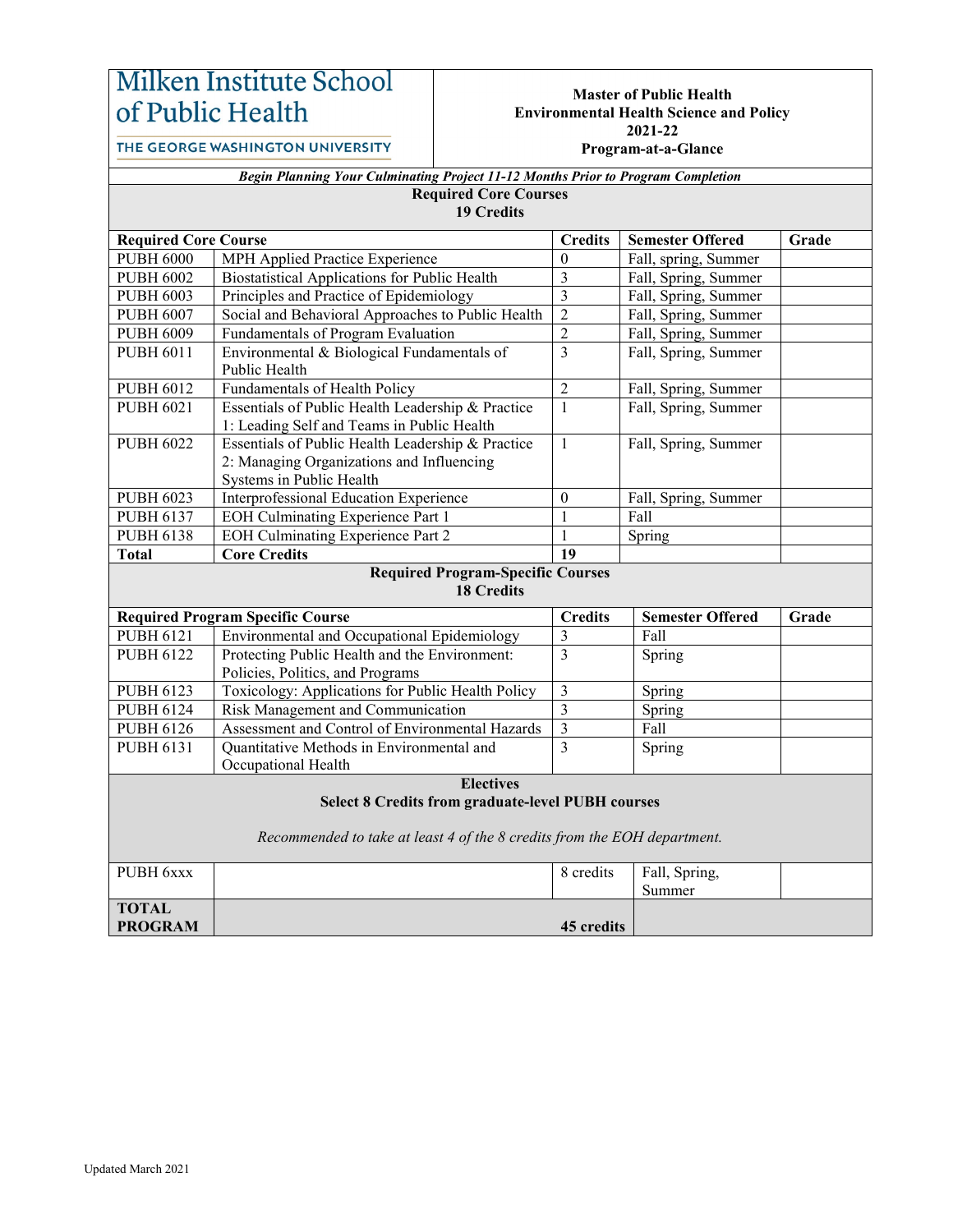# Milken Institute School of Public Health

#### **Master of Public Health Environmental Health Science and Policy 2021-22 Program-at-a-Glance**

THE GEORGE WASHINGTON UNIVERSITY

| 110gram-at-a-Giance |  |
|---------------------|--|
|                     |  |

|                                                                          | Begin Planning Your Culminating Project 11-12 Months Prior to Program Completion                |                                        |                                 |       |  |
|--------------------------------------------------------------------------|-------------------------------------------------------------------------------------------------|----------------------------------------|---------------------------------|-------|--|
| <b>Required Core Courses</b>                                             |                                                                                                 |                                        |                                 |       |  |
|                                                                          | <b>19 Credits</b>                                                                               |                                        |                                 |       |  |
| <b>Required Core Course</b>                                              |                                                                                                 | <b>Credits</b>                         | <b>Semester Offered</b>         | Grade |  |
| <b>PUBH 6000</b>                                                         | MPH Applied Practice Experience                                                                 | $\mathbf{0}$                           | Fall, spring, Summer            |       |  |
| <b>PUBH 6002</b>                                                         | <b>Biostatistical Applications for Public Health</b>                                            | $\mathfrak{Z}$                         | Fall, Spring, Summer            |       |  |
| <b>PUBH 6003</b>                                                         | Principles and Practice of Epidemiology                                                         | $\overline{3}$                         | Fall, Spring, Summer            |       |  |
| <b>PUBH 6007</b>                                                         | Social and Behavioral Approaches to Public Health                                               | $\overline{c}$                         | Fall, Spring, Summer            |       |  |
| <b>PUBH 6009</b>                                                         | Fundamentals of Program Evaluation                                                              | $\overline{2}$                         | Fall, Spring, Summer            |       |  |
| <b>PUBH 6011</b>                                                         | Environmental & Biological Fundamentals of                                                      | $\overline{3}$<br>Fall, Spring, Summer |                                 |       |  |
|                                                                          | Public Health                                                                                   |                                        |                                 |       |  |
| <b>PUBH 6012</b>                                                         | Fundamentals of Health Policy                                                                   | $\overline{2}$                         | Fall, Spring, Summer            |       |  |
| <b>PUBH 6021</b>                                                         | Essentials of Public Health Leadership & Practice<br>1: Leading Self and Teams in Public Health | $\mathbf{1}$                           | Fall, Spring, Summer            |       |  |
| <b>PUBH 6022</b>                                                         | Essentials of Public Health Leadership & Practice                                               | $\mathbf{1}$                           | Fall, Spring, Summer            |       |  |
|                                                                          | 2: Managing Organizations and Influencing                                                       |                                        |                                 |       |  |
|                                                                          | Systems in Public Health                                                                        |                                        |                                 |       |  |
| <b>PUBH 6023</b>                                                         | Interprofessional Education Experience                                                          | $\boldsymbol{0}$                       | Fall, Spring, Summer            |       |  |
| <b>PUBH 6137</b>                                                         | EOH Culminating Experience Part 1                                                               | $\mathbf{1}$                           | Fall                            |       |  |
| <b>PUBH 6138</b>                                                         | <b>EOH Culminating Experience Part 2</b>                                                        | $\mathbf{1}$                           | Spring                          |       |  |
| <b>Total</b>                                                             | <b>Core Credits</b>                                                                             | 19                                     |                                 |       |  |
|                                                                          | <b>Required Program-Specific Courses</b><br><b>18 Credits</b>                                   |                                        |                                 |       |  |
|                                                                          |                                                                                                 |                                        |                                 |       |  |
| <b>PUBH 6121</b>                                                         | <b>Required Program Specific Course</b>                                                         | <b>Credits</b>                         | <b>Semester Offered</b><br>Fall | Grade |  |
|                                                                          | Environmental and Occupational Epidemiology                                                     | $\mathfrak{Z}$<br>$\overline{3}$       |                                 |       |  |
| <b>PUBH 6122</b>                                                         | Protecting Public Health and the Environment:                                                   |                                        | Spring                          |       |  |
|                                                                          | Policies, Politics, and Programs<br>Toxicology: Applications for Public Health Policy           | $\overline{3}$                         |                                 |       |  |
| <b>PUBH 6123</b><br><b>PUBH 6124</b>                                     |                                                                                                 | $\overline{3}$                         | Spring                          |       |  |
| <b>PUBH 6126</b>                                                         | Risk Management and Communication<br>Assessment and Control of Environmental Hazards            | $\mathfrak{Z}$                         | Spring<br>Fall                  |       |  |
| <b>PUBH 6131</b>                                                         | Quantitative Methods in Environmental and                                                       | 3                                      |                                 |       |  |
|                                                                          | Occupational Health                                                                             |                                        | Spring                          |       |  |
|                                                                          | <b>Electives</b>                                                                                |                                        |                                 |       |  |
|                                                                          | <b>Select 8 Credits from graduate-level PUBH courses</b>                                        |                                        |                                 |       |  |
|                                                                          |                                                                                                 |                                        |                                 |       |  |
| Recommended to take at least 4 of the 8 credits from the EOH department. |                                                                                                 |                                        |                                 |       |  |
| PUBH 6xxx                                                                |                                                                                                 | 8 credits                              | Fall, Spring,                   |       |  |
|                                                                          |                                                                                                 |                                        | Summer                          |       |  |
| <b>TOTAL</b>                                                             |                                                                                                 |                                        |                                 |       |  |
| <b>PROGRAM</b>                                                           |                                                                                                 | 45 credits                             |                                 |       |  |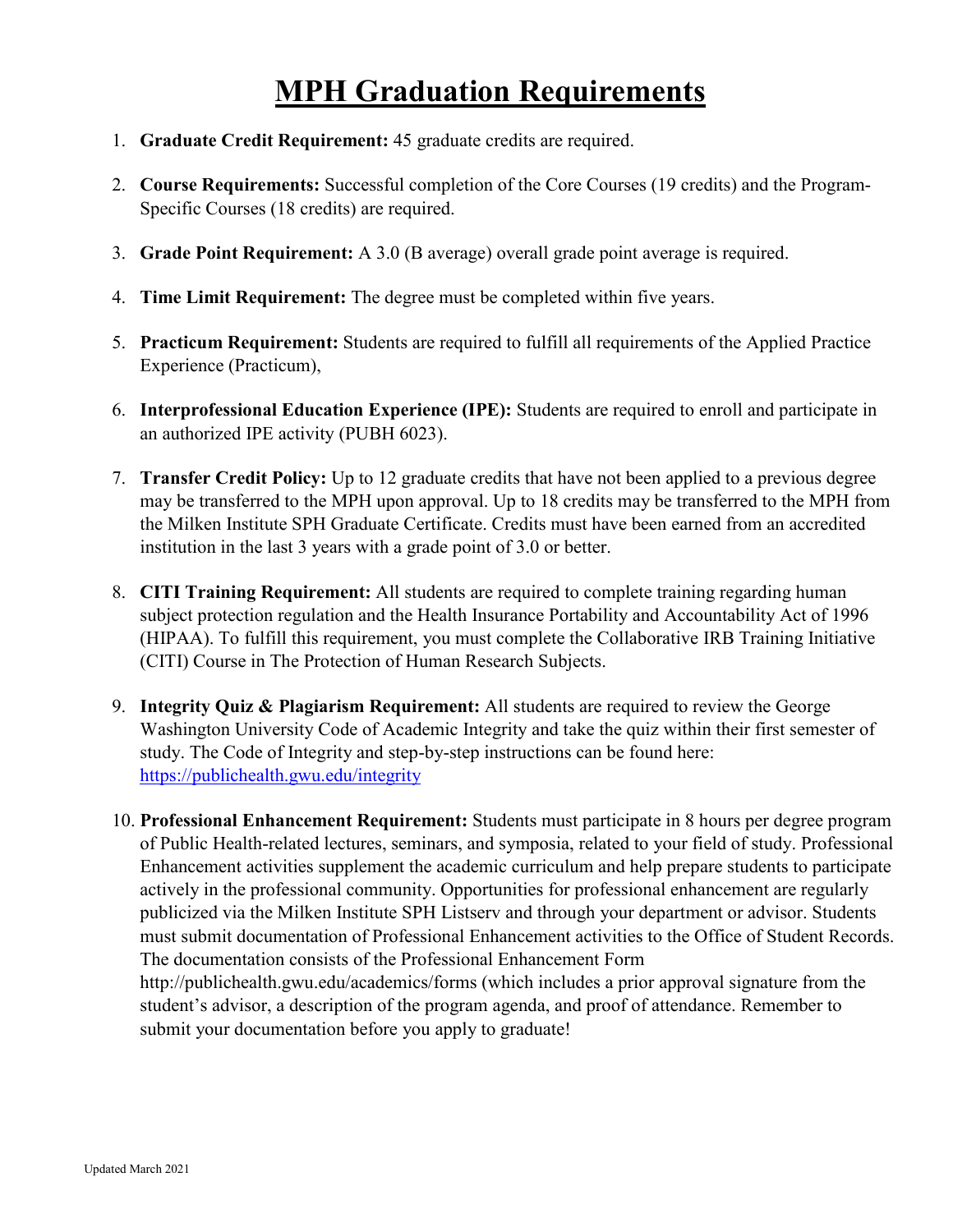# **MPH Graduation Requirements**

- 1. **Graduate Credit Requirement:** 45 graduate credits are required.
- 2. **Course Requirements:** Successful completion of the Core Courses (19 credits) and the Program-Specific Courses (18 credits) are required.
- 3. **Grade Point Requirement:** A 3.0 (B average) overall grade point average is required.
- 4. **Time Limit Requirement:** The degree must be completed within five years.
- 5. **Practicum Requirement:** Students are required to fulfill all requirements of the Applied Practice Experience (Practicum),
- 6. **Interprofessional Education Experience (IPE):** Students are required to enroll and participate in an authorized IPE activity (PUBH 6023).
- 7. **Transfer Credit Policy:** Up to 12 graduate credits that have not been applied to a previous degree may be transferred to the MPH upon approval. Up to 18 credits may be transferred to the MPH from the Milken Institute SPH Graduate Certificate. Credits must have been earned from an accredited institution in the last 3 years with a grade point of 3.0 or better.
- 8. **CITI Training Requirement:** All students are required to complete training regarding human subject protection regulation and the Health Insurance Portability and Accountability Act of 1996 (HIPAA). To fulfill this requirement, you must complete the Collaborative IRB Training Initiative (CITI) Course in The Protection of Human Research Subjects.
- 9. **Integrity Quiz & Plagiarism Requirement:** All students are required to review the George Washington University Code of Academic Integrity and take the quiz within their first semester of study. The Code of Integrity and step-by-step instructions can be found here: <https://publichealth.gwu.edu/integrity>
- 10. **Professional Enhancement Requirement:** Students must participate in 8 hours per degree program of Public Health-related lectures, seminars, and symposia, related to your field of study. Professional Enhancement activities supplement the academic curriculum and help prepare students to participate actively in the professional community. Opportunities for professional enhancement are regularly publicized via the Milken Institute SPH Listserv and through your department or advisor. Students must submit documentation of Professional Enhancement activities to the Office of Student Records. The documentation consists of the Professional Enhancement Form http://publichealth.gwu.edu/academics/forms (which includes a prior approval signature from the student's advisor, a description of the program agenda, and proof of attendance. Remember to submit your documentation before you apply to graduate!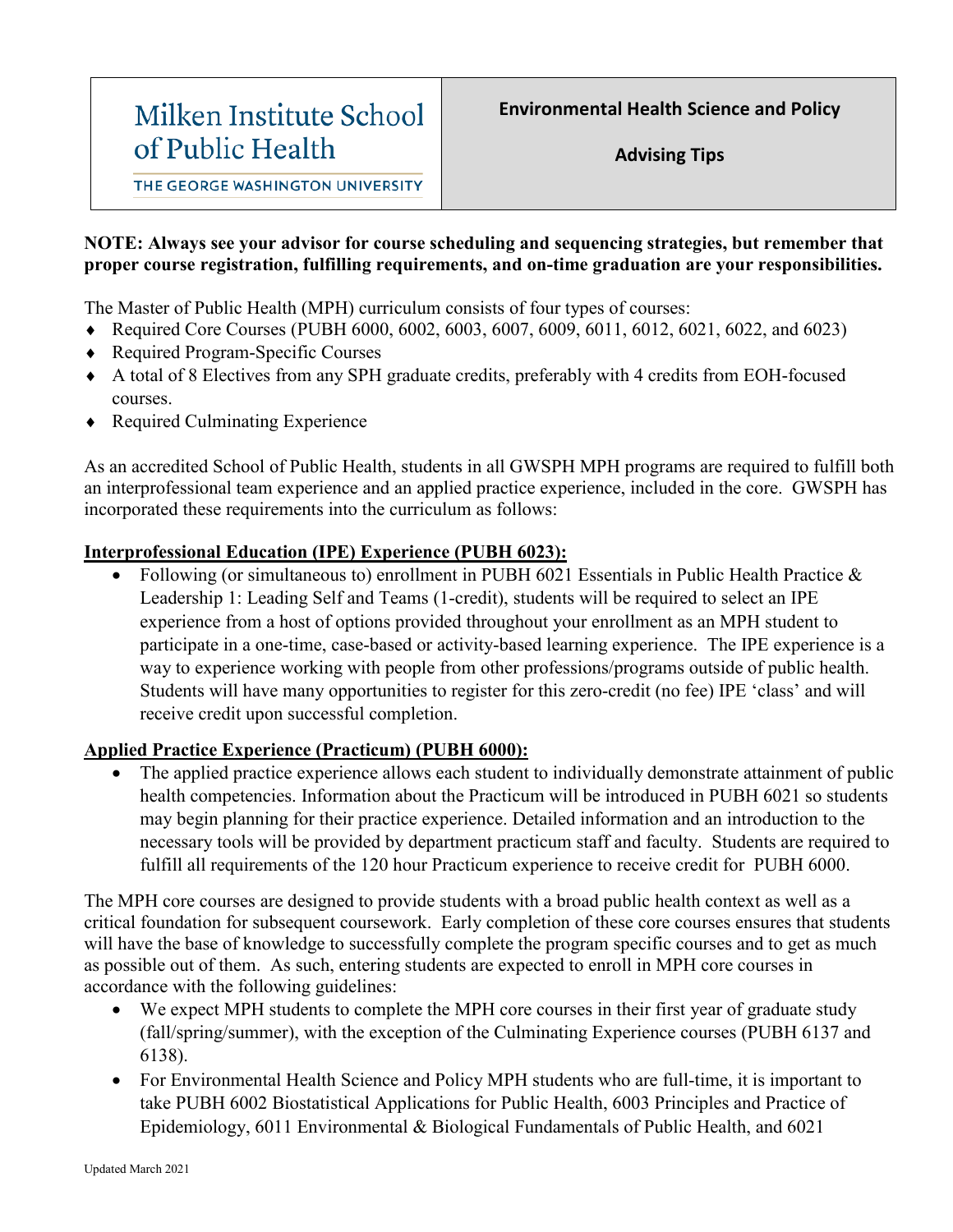# Milken Institute School of Public Health

THE GEORGE WASHINGTON UNIVERSITY

### **NOTE: Always see your advisor for course scheduling and sequencing strategies, but remember that proper course registration, fulfilling requirements, and on-time graduation are your responsibilities.**

The Master of Public Health (MPH) curriculum consists of four types of courses:

- ♦ Required Core Courses (PUBH 6000, 6002, 6003, 6007, 6009, 6011, 6012, 6021, 6022, and 6023)
- ♦ Required Program-Specific Courses
- ♦ A total of 8 Electives from any SPH graduate credits, preferably with 4 credits from EOH-focused courses.
- Required Culminating Experience

As an accredited School of Public Health, students in all GWSPH MPH programs are required to fulfill both an interprofessional team experience and an applied practice experience, included in the core. GWSPH has incorporated these requirements into the curriculum as follows:

### **Interprofessional Education (IPE) Experience (PUBH 6023):**

• Following (or simultaneous to) enrollment in PUBH 6021 Essentials in Public Health Practice & Leadership 1: Leading Self and Teams (1-credit), students will be required to select an IPE experience from a host of options provided throughout your enrollment as an MPH student to participate in a one-time, case-based or activity-based learning experience. The IPE experience is a way to experience working with people from other professions/programs outside of public health. Students will have many opportunities to register for this zero-credit (no fee) IPE 'class' and will receive credit upon successful completion.

## **Applied Practice Experience (Practicum) (PUBH 6000):**

The applied practice experience allows each student to individually demonstrate attainment of public health competencies. Information about the Practicum will be introduced in PUBH 6021 so students may begin planning for their practice experience. Detailed information and an introduction to the necessary tools will be provided by department practicum staff and faculty. Students are required to fulfill all requirements of the 120 hour Practicum experience to receive credit for PUBH 6000.

The MPH core courses are designed to provide students with a broad public health context as well as a critical foundation for subsequent coursework. Early completion of these core courses ensures that students will have the base of knowledge to successfully complete the program specific courses and to get as much as possible out of them. As such, entering students are expected to enroll in MPH core courses in accordance with the following guidelines:

- We expect MPH students to complete the MPH core courses in their first year of graduate study (fall/spring/summer), with the exception of the Culminating Experience courses (PUBH 6137 and 6138).
- For Environmental Health Science and Policy MPH students who are full-time, it is important to take PUBH 6002 Biostatistical Applications for Public Health, 6003 Principles and Practice of Epidemiology, 6011 Environmental & Biological Fundamentals of Public Health, and 6021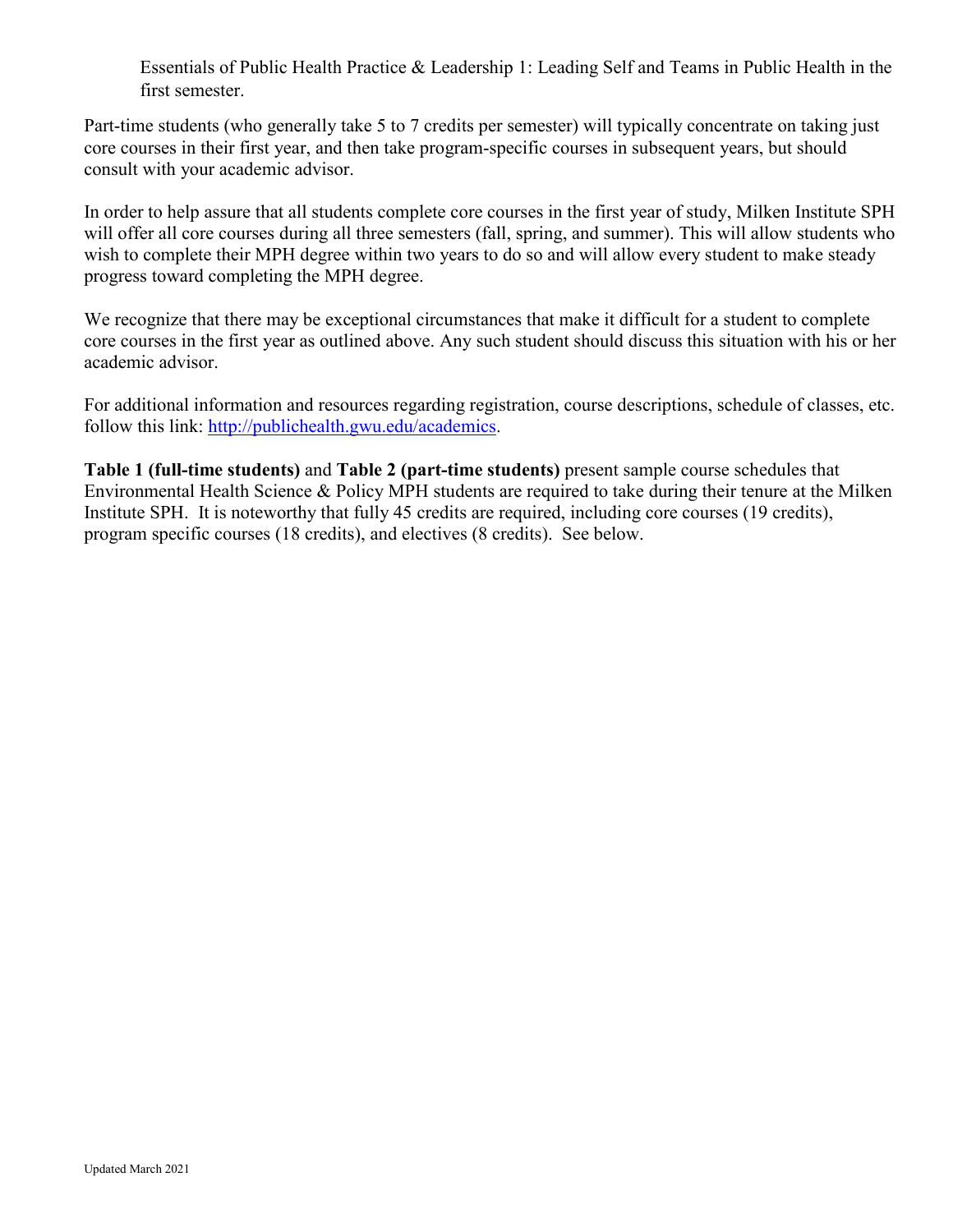Essentials of Public Health Practice & Leadership 1: Leading Self and Teams in Public Health in the first semester.

Part-time students (who generally take 5 to 7 credits per semester) will typically concentrate on taking just core courses in their first year, and then take program-specific courses in subsequent years, but should consult with your academic advisor.

In order to help assure that all students complete core courses in the first year of study, Milken Institute SPH will offer all core courses during all three semesters (fall, spring, and summer). This will allow students who wish to complete their MPH degree within two years to do so and will allow every student to make steady progress toward completing the MPH degree.

We recognize that there may be exceptional circumstances that make it difficult for a student to complete core courses in the first year as outlined above. Any such student should discuss this situation with his or her academic advisor.

For additional information and resources regarding registration, course descriptions, schedule of classes, etc. follow this link: [http://publichealth.gwu.edu/academics.](http://publichealth.gwu.edu/academics)

**Table 1 (full-time students)** and **Table 2 (part-time students)** present sample course schedules that Environmental Health Science & Policy MPH students are required to take during their tenure at the Milken Institute SPH. It is noteworthy that fully 45 credits are required, including core courses (19 credits), program specific courses (18 credits), and electives (8 credits). See below.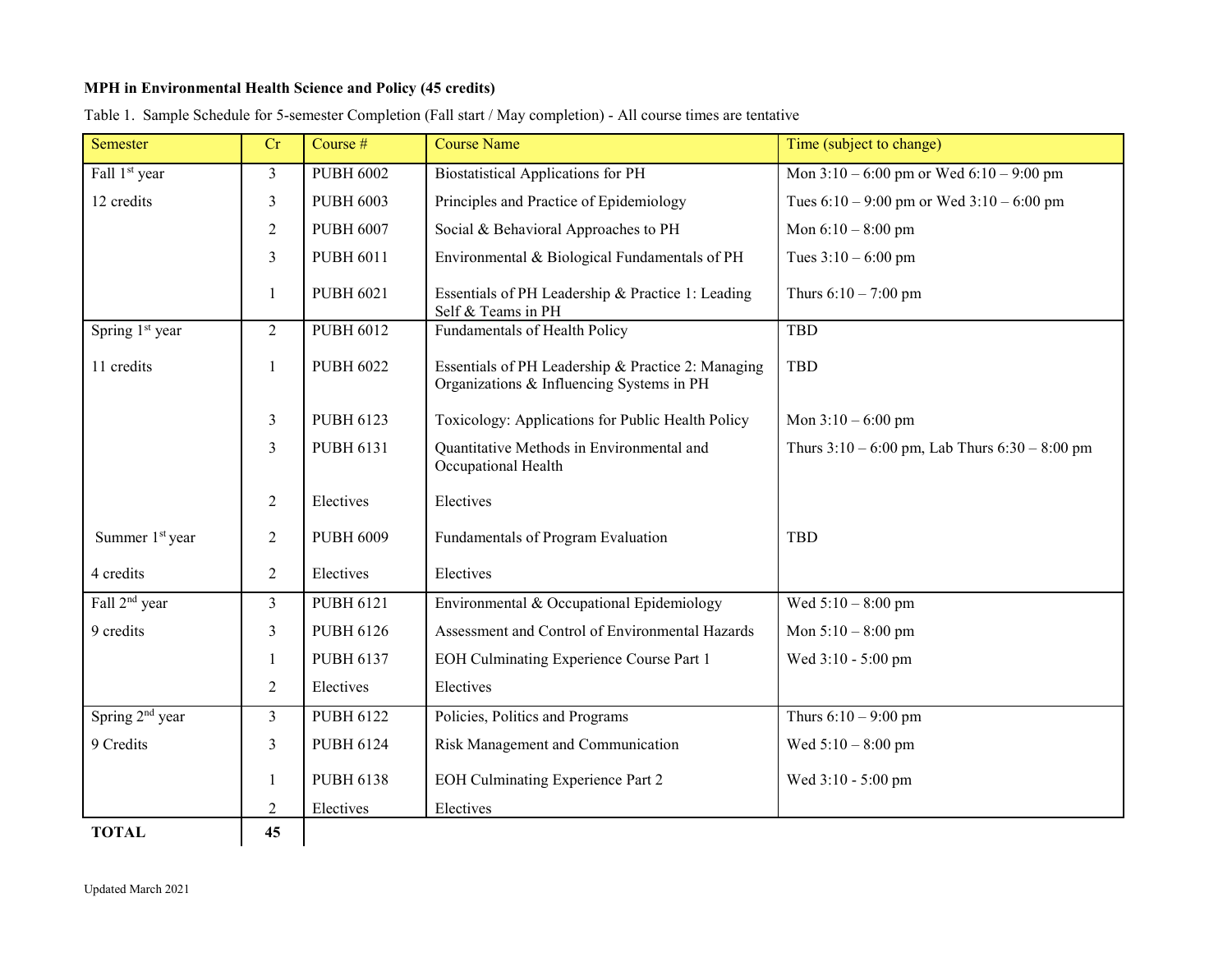#### **MPH in Environmental Health Science and Policy (45 credits)**

| Semester                    | Cr             | Course $#$       | <b>Course Name</b>                                                                              | Time (subject to change)                           |
|-----------------------------|----------------|------------------|-------------------------------------------------------------------------------------------------|----------------------------------------------------|
| Fall 1 <sup>st</sup> year   | 3              | <b>PUBH 6002</b> | <b>Biostatistical Applications for PH</b>                                                       | Mon $3:10 - 6:00$ pm or Wed $6:10 - 9:00$ pm       |
| 12 credits                  | 3              | <b>PUBH 6003</b> | Principles and Practice of Epidemiology                                                         | Tues $6:10 - 9:00$ pm or Wed $3:10 - 6:00$ pm      |
|                             | $\overline{2}$ | <b>PUBH 6007</b> | Social & Behavioral Approaches to PH                                                            | Mon $6:10 - 8:00$ pm                               |
|                             | 3              | <b>PUBH 6011</b> | Environmental & Biological Fundamentals of PH                                                   | Tues $3:10 - 6:00$ pm                              |
|                             | 1              | <b>PUBH 6021</b> | Essentials of PH Leadership & Practice 1: Leading<br>Self & Teams in PH                         | Thurs $6:10 - 7:00$ pm                             |
| Spring 1st year             | $\overline{2}$ | <b>PUBH 6012</b> | <b>Fundamentals of Health Policy</b>                                                            | <b>TBD</b>                                         |
| 11 credits                  | -1             | <b>PUBH 6022</b> | Essentials of PH Leadership & Practice 2: Managing<br>Organizations & Influencing Systems in PH | TBD                                                |
|                             | 3              | PUBH 6123        | Toxicology: Applications for Public Health Policy                                               | Mon $3:10 - 6:00$ pm                               |
|                             | 3              | <b>PUBH 6131</b> | Quantitative Methods in Environmental and<br>Occupational Health                                | Thurs $3:10 - 6:00$ pm, Lab Thurs $6:30 - 8:00$ pm |
|                             | $\overline{2}$ | Electives        | Electives                                                                                       |                                                    |
| Summer 1 <sup>st</sup> year | $\overline{2}$ | <b>PUBH 6009</b> | Fundamentals of Program Evaluation                                                              | TBD                                                |
| 4 credits                   | $\overline{2}$ | Electives        | Electives                                                                                       |                                                    |
| Fall 2 <sup>nd</sup> year   | $\overline{3}$ | <b>PUBH 6121</b> | Environmental & Occupational Epidemiology                                                       | Wed $5:10 - 8:00$ pm                               |
| 9 credits                   | 3              | <b>PUBH 6126</b> | Assessment and Control of Environmental Hazards                                                 | Mon $5:10 - 8:00$ pm                               |
|                             | 1              | <b>PUBH 6137</b> | EOH Culminating Experience Course Part 1                                                        | Wed 3:10 - 5:00 pm                                 |
|                             | $\overline{2}$ | Electives        | Electives                                                                                       |                                                    |
| Spring 2 <sup>nd</sup> year | $\overline{3}$ | <b>PUBH 6122</b> | Policies, Politics and Programs                                                                 | Thurs $6:10 - 9:00$ pm                             |
| 9 Credits                   | $\overline{3}$ | <b>PUBH 6124</b> | Risk Management and Communication                                                               | Wed $5:10 - 8:00$ pm                               |
|                             | 1              | <b>PUBH 6138</b> | <b>EOH Culminating Experience Part 2</b>                                                        | Wed 3:10 - 5:00 pm                                 |
|                             | $\overline{2}$ | Electives        | Electives                                                                                       |                                                    |
| <b>TOTAL</b>                | 45             |                  |                                                                                                 |                                                    |

Table 1. Sample Schedule for 5-semester Completion (Fall start / May completion) - All course times are tentative

Updated March 2021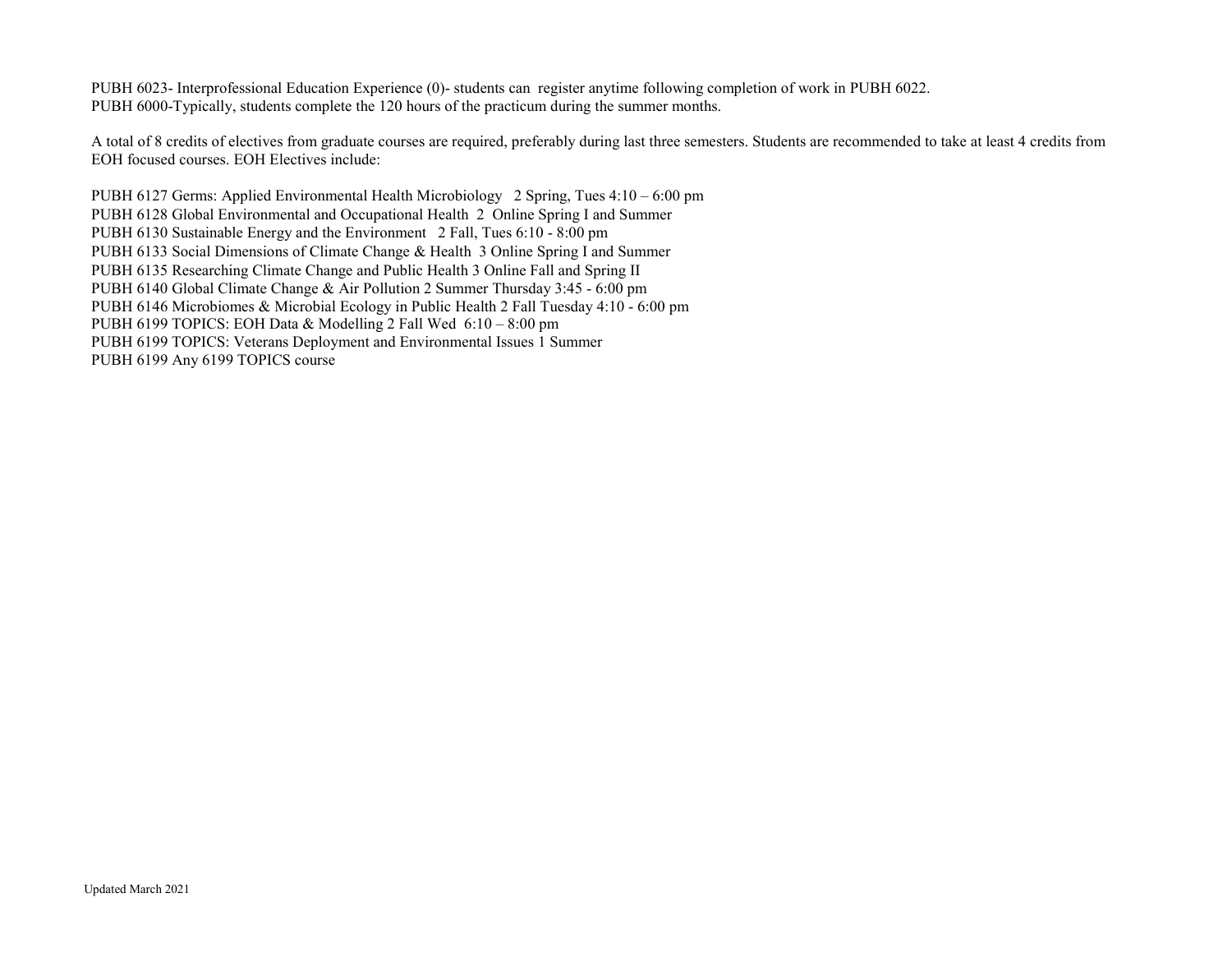PUBH 6023- Interprofessional Education Experience (0)- students can register anytime following completion of work in PUBH 6022. PUBH 6000-Typically, students complete the 120 hours of the practicum during the summer months.

A total of 8 credits of electives from graduate courses are required, preferably during last three semesters. Students are recommended to take at least 4 credits from EOH focused courses. EOH Electives include:

PUBH 6127 Germs: Applied Environmental Health Microbiology 2 Spring, Tues 4:10 – 6:00 pm PUBH 6128 Global Environmental and Occupational Health 2 Online Spring I and Summer PUBH 6130 Sustainable Energy and the Environment 2 Fall, Tues 6:10 - 8:00 pm PUBH 6133 Social Dimensions of Climate Change & Health 3 Online Spring I and Summer PUBH 6135 Researching Climate Change and Public Health 3 Online Fall and Spring II PUBH 6140 Global Climate Change & Air Pollution 2 Summer Thursday 3:45 - 6:00 pm PUBH 6146 Microbiomes & Microbial Ecology in Public Health 2 Fall Tuesday 4:10 - 6:00 pm PUBH 6199 TOPICS: EOH Data & Modelling 2 Fall Wed 6:10 – 8:00 pm PUBH 6199 TOPICS: Veterans Deployment and Environmental Issues 1 Summer PUBH 6199 Any 6199 TOPICS course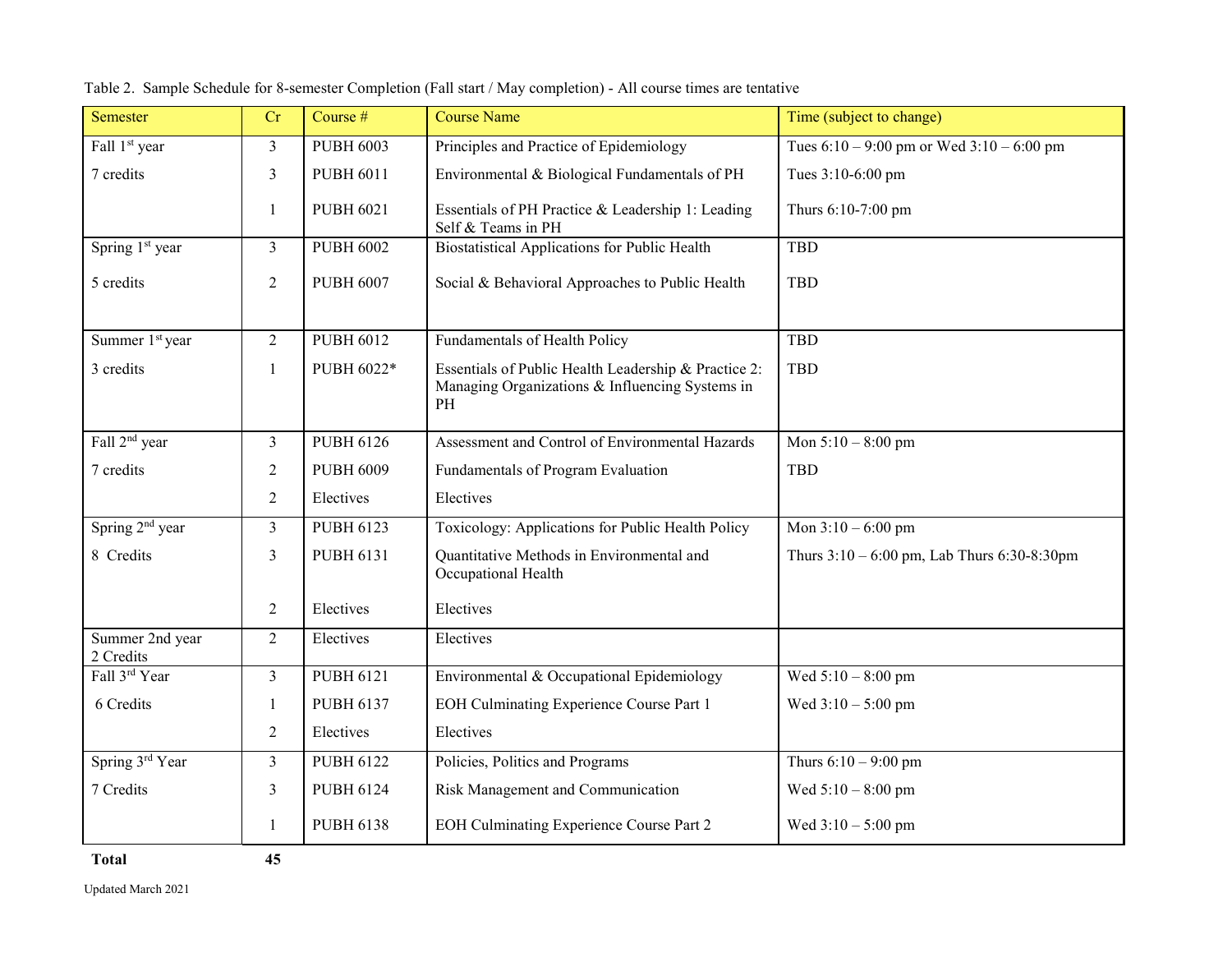| Semester                     | Cr             | Course #         | <b>Course Name</b>                                                                                            | Time (subject to change)                         |
|------------------------------|----------------|------------------|---------------------------------------------------------------------------------------------------------------|--------------------------------------------------|
| Fall 1 <sup>st</sup> year    | $\mathfrak{Z}$ | <b>PUBH 6003</b> | Principles and Practice of Epidemiology                                                                       | Tues $6:10 - 9:00$ pm or Wed $3:10 - 6:00$ pm    |
| 7 credits                    | $\mathfrak{Z}$ | <b>PUBH 6011</b> | Environmental & Biological Fundamentals of PH                                                                 | Tues 3:10-6:00 pm                                |
|                              | $\mathbf{1}$   | <b>PUBH 6021</b> | Essentials of PH Practice & Leadership 1: Leading<br>Self & Teams in PH                                       | Thurs 6:10-7:00 pm                               |
| Spring 1 <sup>st</sup> year  | $\mathfrak{Z}$ | <b>PUBH 6002</b> | <b>Biostatistical Applications for Public Health</b>                                                          | <b>TBD</b>                                       |
| 5 credits                    | $\overline{2}$ | <b>PUBH 6007</b> | Social & Behavioral Approaches to Public Health                                                               | <b>TBD</b>                                       |
| Summer 1 <sup>st</sup> year  | $\overline{2}$ | <b>PUBH 6012</b> | Fundamentals of Health Policy                                                                                 | <b>TBD</b>                                       |
| 3 credits                    | $\mathbf{1}$   | PUBH 6022*       | Essentials of Public Health Leadership & Practice 2:<br>Managing Organizations & Influencing Systems in<br>PH | <b>TBD</b>                                       |
| Fall 2 <sup>nd</sup> year    | $\mathfrak{Z}$ | <b>PUBH 6126</b> | Assessment and Control of Environmental Hazards                                                               | Mon $5:10 - 8:00$ pm                             |
| 7 credits                    | $\overline{2}$ | <b>PUBH 6009</b> | Fundamentals of Program Evaluation                                                                            | <b>TBD</b>                                       |
|                              | $\overline{2}$ | Electives        | Electives                                                                                                     |                                                  |
| Spring 2 <sup>nd</sup> year  | $\overline{3}$ | <b>PUBH 6123</b> | Toxicology: Applications for Public Health Policy                                                             | Mon $3:10 - 6:00$ pm                             |
| 8 Credits                    | $\overline{3}$ | PUBH 6131        | Quantitative Methods in Environmental and<br>Occupational Health                                              | Thurs $3:10 - 6:00$ pm, Lab Thurs $6:30-8:30$ pm |
|                              | 2              | Electives        | Electives                                                                                                     |                                                  |
| Summer 2nd year<br>2 Credits | 2              | Electives        | Electives                                                                                                     |                                                  |
| Fall 3rd Year                | $\overline{3}$ | <b>PUBH 6121</b> | Environmental & Occupational Epidemiology                                                                     | Wed $5:10 - 8:00$ pm                             |
| 6 Credits                    | 1              | <b>PUBH 6137</b> | <b>EOH Culminating Experience Course Part 1</b>                                                               | Wed $3:10 - 5:00$ pm                             |
|                              | $\overline{2}$ | Electives        | Electives                                                                                                     |                                                  |
| Spring 3rd Year              | $\mathfrak{Z}$ | <b>PUBH 6122</b> | Policies, Politics and Programs                                                                               | Thurs $6:10 - 9:00$ pm                           |
| 7 Credits                    | 3              | <b>PUBH 6124</b> | Risk Management and Communication                                                                             | Wed $5:10 - 8:00$ pm                             |
|                              | 1              | <b>PUBH 6138</b> | EOH Culminating Experience Course Part 2                                                                      | Wed $3:10 - 5:00$ pm                             |
| <b>Total</b>                 | 45             |                  |                                                                                                               |                                                  |

Table 2. Sample Schedule for 8-semester Completion (Fall start / May completion) - All course times are tentative

Updated March 2021